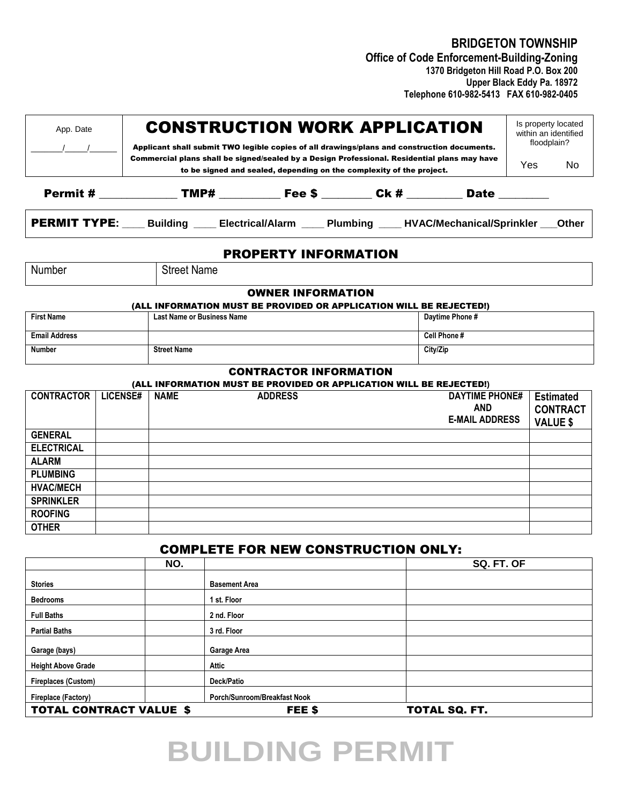**BRIDGETON TOWNSHIP** 

 **Office of Code Enforcement-Building-Zoning 1370 Bridgeton Hill Road P.O. Box 200 Upper Black Eddy Pa. 18972 Telephone 610-982-5413 FAX 610-982-0405**

| App. Date                                                                                                                                                            |                 | <b>CONSTRUCTION WORK APPLICATION</b><br>Applicant shall submit TWO legible copies of all drawings/plans and construction documents. | Is property located<br>within an identified<br>floodplain?          |                                                                                             |  |                       |            |                                     |  |
|----------------------------------------------------------------------------------------------------------------------------------------------------------------------|-----------------|-------------------------------------------------------------------------------------------------------------------------------------|---------------------------------------------------------------------|---------------------------------------------------------------------------------------------|--|-----------------------|------------|-------------------------------------|--|
| Commercial plans shall be signed/sealed by a Design Professional. Residential plans may have<br>to be signed and sealed, depending on the complexity of the project. |                 |                                                                                                                                     |                                                                     |                                                                                             |  |                       | <b>Yes</b> | No                                  |  |
|                                                                                                                                                                      |                 |                                                                                                                                     |                                                                     | Permit # ________________TMP# _____________Fee \$ _________ Ck # ___________ Date _________ |  |                       |            |                                     |  |
|                                                                                                                                                                      |                 | <b>PERMIT TYPE:</b> Building ___ Electrical/Alarm ___ Plumbing ___ HVAC/Mechanical/Sprinkler __ Other                               |                                                                     |                                                                                             |  |                       |            |                                     |  |
| <b>PROPERTY INFORMATION</b>                                                                                                                                          |                 |                                                                                                                                     |                                                                     |                                                                                             |  |                       |            |                                     |  |
| Number                                                                                                                                                               |                 | <b>Street Name</b>                                                                                                                  |                                                                     |                                                                                             |  |                       |            |                                     |  |
|                                                                                                                                                                      |                 |                                                                                                                                     | (ALL INFORMATION MUST BE PROVIDED OR APPLICATION WILL BE REJECTED!) | <b>OWNER INFORMATION</b>                                                                    |  |                       |            |                                     |  |
| <b>First Name</b>                                                                                                                                                    |                 | <b>Last Name or Business Name</b>                                                                                                   |                                                                     |                                                                                             |  | Daytime Phone #       |            |                                     |  |
| <b>Email Address</b>                                                                                                                                                 |                 |                                                                                                                                     |                                                                     |                                                                                             |  | Cell Phone #          |            |                                     |  |
| Number                                                                                                                                                               |                 | <b>Street Name</b>                                                                                                                  |                                                                     |                                                                                             |  | City/Zip              |            |                                     |  |
|                                                                                                                                                                      |                 |                                                                                                                                     | <b>CONTRACTOR INFORMATION</b>                                       |                                                                                             |  |                       |            |                                     |  |
| <b>CONTRACTOR</b>                                                                                                                                                    | <b>LICENSE#</b> |                                                                                                                                     | (ALL INFORMATION MUST BE PROVIDED OR APPLICATION WILL BE REJECTED!) |                                                                                             |  | <b>DAYTIME PHONE#</b> |            |                                     |  |
|                                                                                                                                                                      |                 | <b>NAME</b>                                                                                                                         | <b>ADDRESS</b>                                                      |                                                                                             |  | <b>AND</b>            |            | <b>Estimated</b><br><b>CONTRACT</b> |  |
|                                                                                                                                                                      |                 |                                                                                                                                     |                                                                     |                                                                                             |  | <b>E-MAIL ADDRESS</b> |            | <b>VALUE \$</b>                     |  |
| <b>GENERAL</b>                                                                                                                                                       |                 |                                                                                                                                     |                                                                     |                                                                                             |  |                       |            |                                     |  |
| <b>ELECTRICAL</b>                                                                                                                                                    |                 |                                                                                                                                     |                                                                     |                                                                                             |  |                       |            |                                     |  |
| <b>ALARM</b>                                                                                                                                                         |                 |                                                                                                                                     |                                                                     |                                                                                             |  |                       |            |                                     |  |
| <b>PLUMBING</b>                                                                                                                                                      |                 |                                                                                                                                     |                                                                     |                                                                                             |  |                       |            |                                     |  |
| <b>HVAC/MECH</b>                                                                                                                                                     |                 |                                                                                                                                     |                                                                     |                                                                                             |  |                       |            |                                     |  |
| <b>SPRINKLER</b>                                                                                                                                                     |                 |                                                                                                                                     |                                                                     |                                                                                             |  |                       |            |                                     |  |
| <b>ROOFING</b>                                                                                                                                                       |                 |                                                                                                                                     |                                                                     |                                                                                             |  |                       |            |                                     |  |
| <b>OTHER</b>                                                                                                                                                         |                 |                                                                                                                                     |                                                                     |                                                                                             |  |                       |            |                                     |  |
|                                                                                                                                                                      |                 |                                                                                                                                     | <b>COMPLETE FOR NEW CONSTRUCTION ONLY:</b>                          |                                                                                             |  |                       |            |                                     |  |

#### **NO. SQ. FT. OF Stories Basement Area Bedrooms 1 1 st. Floor Full Baths 2 nd. Floor Partial Baths 3 rd. Floor Garage (bays) Garage Area Height Above Grade Attic Fireplaces (Custom) Deck/Patio Fireplace (Factory) Porch/Sunroom/Breakfast Nook** TOTAL CONTRACT VALUE \$FEE \$ TOTAL SQ. FT.

# **BUILDING PERMIT**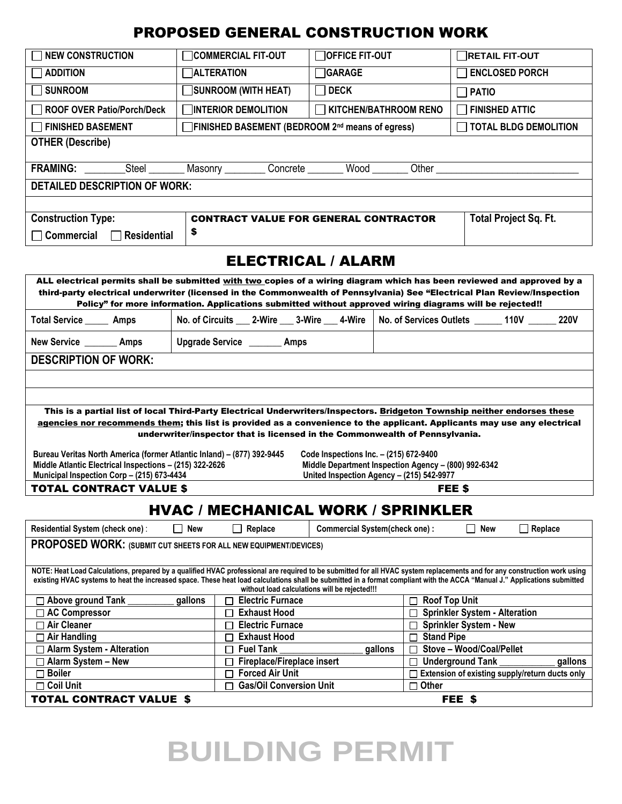## PROPOSED GENERAL CONSTRUCTION WORK

| <b>NEW CONSTRUCTION</b>                                                                                                                                                                                                                                                                                                                                | <b>COMMERCIAL FIT-OUT</b>                                                                                | <b>OFFICE FIT-OUT</b>                                                                             | <b>RETAIL FIT-OUT</b>                                                                                                     |  |  |  |  |  |  |
|--------------------------------------------------------------------------------------------------------------------------------------------------------------------------------------------------------------------------------------------------------------------------------------------------------------------------------------------------------|----------------------------------------------------------------------------------------------------------|---------------------------------------------------------------------------------------------------|---------------------------------------------------------------------------------------------------------------------------|--|--|--|--|--|--|
| <b>ADDITION</b>                                                                                                                                                                                                                                                                                                                                        | <b>ALTERATION</b>                                                                                        | <b>GARAGE</b>                                                                                     | <b>ENCLOSED PORCH</b>                                                                                                     |  |  |  |  |  |  |
| <b>SUNROOM</b>                                                                                                                                                                                                                                                                                                                                         | SUNROOM (WITH HEAT)                                                                                      | $\Box$ DECK                                                                                       | <b>PATIO</b><br>$\mathcal{L}$                                                                                             |  |  |  |  |  |  |
| <b>ROOF OVER Patio/Porch/Deck</b>                                                                                                                                                                                                                                                                                                                      | <b>TINTERIOR DEMOLITION</b>                                                                              | KITCHEN/BATHROOM RENO                                                                             | <b>FINISHED ATTIC</b><br>L                                                                                                |  |  |  |  |  |  |
| <b>FINISHED BASEMENT</b>                                                                                                                                                                                                                                                                                                                               | FINISHED BASEMENT (BEDROOM 2nd means of egress)                                                          |                                                                                                   | <b>TOTAL BLDG DEMOLITION</b>                                                                                              |  |  |  |  |  |  |
| <b>OTHER (Describe)</b>                                                                                                                                                                                                                                                                                                                                |                                                                                                          |                                                                                                   |                                                                                                                           |  |  |  |  |  |  |
|                                                                                                                                                                                                                                                                                                                                                        |                                                                                                          |                                                                                                   |                                                                                                                           |  |  |  |  |  |  |
| Concrete _________ Wood ________<br><b>FRAMING:</b><br>Steel<br>Masonry _________<br>Other                                                                                                                                                                                                                                                             |                                                                                                          |                                                                                                   |                                                                                                                           |  |  |  |  |  |  |
| <b>DETAILED DESCRIPTION OF WORK:</b>                                                                                                                                                                                                                                                                                                                   |                                                                                                          |                                                                                                   |                                                                                                                           |  |  |  |  |  |  |
|                                                                                                                                                                                                                                                                                                                                                        |                                                                                                          |                                                                                                   |                                                                                                                           |  |  |  |  |  |  |
| <b>Construction Type:</b><br>Total Project Sq. Ft.<br><b>CONTRACT VALUE FOR GENERAL CONTRACTOR</b>                                                                                                                                                                                                                                                     |                                                                                                          |                                                                                                   |                                                                                                                           |  |  |  |  |  |  |
| $\Box$ Commercial<br>$\Box$ Residential                                                                                                                                                                                                                                                                                                                | \$                                                                                                       |                                                                                                   |                                                                                                                           |  |  |  |  |  |  |
|                                                                                                                                                                                                                                                                                                                                                        |                                                                                                          |                                                                                                   |                                                                                                                           |  |  |  |  |  |  |
| <b>ELECTRICAL / ALARM</b>                                                                                                                                                                                                                                                                                                                              |                                                                                                          |                                                                                                   |                                                                                                                           |  |  |  |  |  |  |
|                                                                                                                                                                                                                                                                                                                                                        |                                                                                                          |                                                                                                   | ALL electrical permits shall be submitted with two copies of a wiring diagram which has been reviewed and approved by a   |  |  |  |  |  |  |
| third-party electrical underwriter (licensed in the Commonwealth of Pennsylvania) See "Electrical Plan Review/Inspection                                                                                                                                                                                                                               |                                                                                                          |                                                                                                   |                                                                                                                           |  |  |  |  |  |  |
|                                                                                                                                                                                                                                                                                                                                                        | Policy" for more information. Applications submitted without approved wiring diagrams will be rejected!! |                                                                                                   |                                                                                                                           |  |  |  |  |  |  |
| Total Service ______ Amps                                                                                                                                                                                                                                                                                                                              |                                                                                                          |                                                                                                   | No. of Circuits ___ 2-Wire ___ 3-Wire ___ 4-Wire   No. of Services Outlets ______ 110V ______ 220V                        |  |  |  |  |  |  |
| New Service ________ Amps                                                                                                                                                                                                                                                                                                                              | Upgrade Service ________ Amps                                                                            |                                                                                                   |                                                                                                                           |  |  |  |  |  |  |
| <b>DESCRIPTION OF WORK:</b>                                                                                                                                                                                                                                                                                                                            |                                                                                                          |                                                                                                   |                                                                                                                           |  |  |  |  |  |  |
|                                                                                                                                                                                                                                                                                                                                                        |                                                                                                          |                                                                                                   |                                                                                                                           |  |  |  |  |  |  |
|                                                                                                                                                                                                                                                                                                                                                        |                                                                                                          |                                                                                                   |                                                                                                                           |  |  |  |  |  |  |
|                                                                                                                                                                                                                                                                                                                                                        |                                                                                                          |                                                                                                   | This is a partial list of local Third-Party Electrical Underwriters/Inspectors. Bridgeton Township neither endorses these |  |  |  |  |  |  |
|                                                                                                                                                                                                                                                                                                                                                        |                                                                                                          |                                                                                                   | agencies nor recommends them; this list is provided as a convenience to the applicant. Applicants may use any electrical  |  |  |  |  |  |  |
|                                                                                                                                                                                                                                                                                                                                                        | underwriter/inspector that is licensed in the Commonwealth of Pennsylvania.                              |                                                                                                   |                                                                                                                           |  |  |  |  |  |  |
| Bureau Veritas North America (former Atlantic Inland) - (877) 392-9445                                                                                                                                                                                                                                                                                 |                                                                                                          | Code Inspections Inc. - (215) 672-9400                                                            |                                                                                                                           |  |  |  |  |  |  |
| Middle Atlantic Electrical Inspections - (215) 322-2626<br>Municipal Inspection Corp - (215) 673-4434                                                                                                                                                                                                                                                  |                                                                                                          | Middle Department Inspection Agency - (800) 992-6342<br>United Inspection Agency - (215) 542-9977 |                                                                                                                           |  |  |  |  |  |  |
| <b>TOTAL CONTRACT VALUE \$</b>                                                                                                                                                                                                                                                                                                                         |                                                                                                          |                                                                                                   | FEE \$                                                                                                                    |  |  |  |  |  |  |
|                                                                                                                                                                                                                                                                                                                                                        |                                                                                                          |                                                                                                   |                                                                                                                           |  |  |  |  |  |  |
|                                                                                                                                                                                                                                                                                                                                                        | <b>HVAC / MECHANICAL WORK / SPRINKLER</b>                                                                |                                                                                                   |                                                                                                                           |  |  |  |  |  |  |
| Residential System (check one):                                                                                                                                                                                                                                                                                                                        | New<br>Replace                                                                                           | <b>Commercial System(check one):</b>                                                              | New<br>Replace                                                                                                            |  |  |  |  |  |  |
| PROPOSED WORK: (SUBMIT CUT SHEETS FOR ALL NEW EQUIPMENT/DEVICES)                                                                                                                                                                                                                                                                                       |                                                                                                          |                                                                                                   |                                                                                                                           |  |  |  |  |  |  |
|                                                                                                                                                                                                                                                                                                                                                        |                                                                                                          |                                                                                                   |                                                                                                                           |  |  |  |  |  |  |
| NOTE: Heat Load Calculations, prepared by a qualified HVAC professional are required to be submitted for all HVAC system replacements and for any construction work using<br>existing HVAC systems to heat the increased space. These heat load calculations shall be submitted in a format compliant with the ACCA "Manual J." Applications submitted |                                                                                                          |                                                                                                   |                                                                                                                           |  |  |  |  |  |  |
| without load calculations will be rejected!!!                                                                                                                                                                                                                                                                                                          |                                                                                                          |                                                                                                   |                                                                                                                           |  |  |  |  |  |  |
| □ Above ground Tank                                                                                                                                                                                                                                                                                                                                    | <b>Electric Furnace</b><br>gallons                                                                       |                                                                                                   | <b>Roof Top Unit</b>                                                                                                      |  |  |  |  |  |  |
| □ AC Compressor                                                                                                                                                                                                                                                                                                                                        | <b>Exhaust Hood</b><br>⊏                                                                                 |                                                                                                   | <b>Sprinkler System - Alteration</b>                                                                                      |  |  |  |  |  |  |
| $\Box$ Air Cleaner<br>$\Box$ Air Handling                                                                                                                                                                                                                                                                                                              | <b>Electric Furnace</b><br>Г<br><b>Exhaust Hood</b><br>Г                                                 |                                                                                                   | <b>Sprinkler System - New</b><br><b>Stand Pipe</b>                                                                        |  |  |  |  |  |  |
| □ Alarm System - Alteration                                                                                                                                                                                                                                                                                                                            | <b>Fuel Tank</b><br>г                                                                                    | gallons                                                                                           | Stove - Wood/Coal/Pellet                                                                                                  |  |  |  |  |  |  |
| $\Box$ Alarm System - New                                                                                                                                                                                                                                                                                                                              | Fireplace/Fireplace insert                                                                               |                                                                                                   | <b>Underground Tank</b><br>gallons                                                                                        |  |  |  |  |  |  |
| $\square$ Boiler                                                                                                                                                                                                                                                                                                                                       | <b>Forced Air Unit</b>                                                                                   |                                                                                                   | $\Box$ Extension of existing supply/return ducts only                                                                     |  |  |  |  |  |  |
| <b>Coil Unit</b>                                                                                                                                                                                                                                                                                                                                       | <b>Gas/Oil Conversion Unit</b><br>г                                                                      |                                                                                                   | $\Box$ Other                                                                                                              |  |  |  |  |  |  |
| <b>TOTAL CONTRACT VALUE \$</b>                                                                                                                                                                                                                                                                                                                         |                                                                                                          |                                                                                                   | FEE \$                                                                                                                    |  |  |  |  |  |  |

# **BUILDING PERMIT**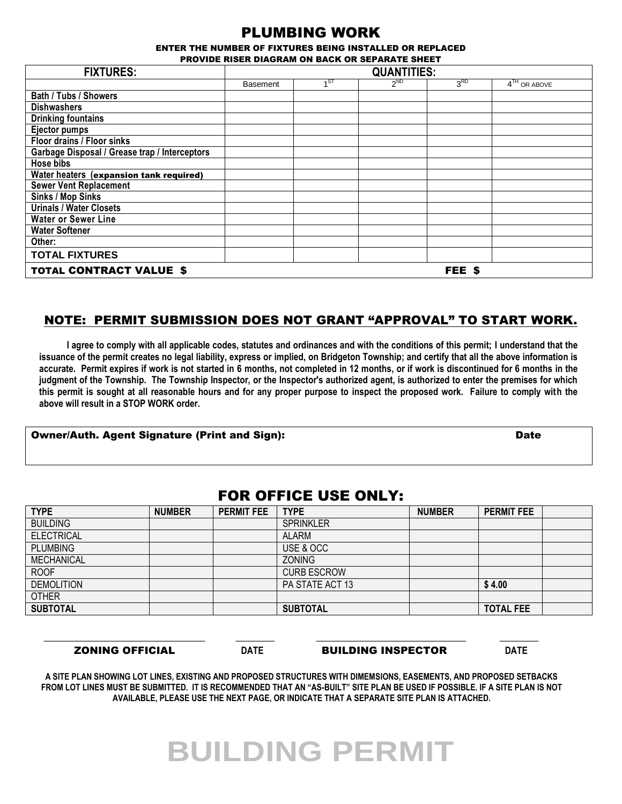### PLUMBING WORK

ENTER THE NUMBER OF FIXTURES BEING INSTALLED OR REPLACED PROVIDE RISER DIAGRAM ON BACK OR SEPARATE SHEET

| <b>FIXTURES:</b>                              | <b>QUANTITIES:</b> |      |          |                 |                |  |  |  |
|-----------------------------------------------|--------------------|------|----------|-----------------|----------------|--|--|--|
|                                               | <b>Basement</b>    | .4ST | $2^{ND}$ | 3 <sup>RD</sup> | $4TH$ OR ABOVE |  |  |  |
| Bath / Tubs / Showers                         |                    |      |          |                 |                |  |  |  |
| <b>Dishwashers</b>                            |                    |      |          |                 |                |  |  |  |
| <b>Drinking fountains</b>                     |                    |      |          |                 |                |  |  |  |
| <b>Ejector pumps</b>                          |                    |      |          |                 |                |  |  |  |
| Floor drains / Floor sinks                    |                    |      |          |                 |                |  |  |  |
| Garbage Disposal / Grease trap / Interceptors |                    |      |          |                 |                |  |  |  |
| <b>Hose bibs</b>                              |                    |      |          |                 |                |  |  |  |
| Water heaters (expansion tank required)       |                    |      |          |                 |                |  |  |  |
| <b>Sewer Vent Replacement</b>                 |                    |      |          |                 |                |  |  |  |
| Sinks / Mop Sinks                             |                    |      |          |                 |                |  |  |  |
| <b>Urinals / Water Closets</b>                |                    |      |          |                 |                |  |  |  |
| <b>Water or Sewer Line</b>                    |                    |      |          |                 |                |  |  |  |
| <b>Water Softener</b>                         |                    |      |          |                 |                |  |  |  |
| Other:                                        |                    |      |          |                 |                |  |  |  |
| <b>TOTAL FIXTURES</b>                         |                    |      |          |                 |                |  |  |  |
| <b>TOTAL CONTRACT VALUE \$</b>                |                    |      |          | FEE \$          |                |  |  |  |

#### NOTE: PERMIT SUBMISSION DOES NOT GRANT "APPROVAL" TO START WORK.

**I agree to comply with all applicable codes, statutes and ordinances and with the conditions of this permit; I understand that the issuance of the permit creates no legal liability, express or implied, on Bridgeton Township; and certify that all the above information is accurate. Permit expires if work is not started in 6 months, not completed in 12 months, or if work is discontinued for 6 months in the judgment of the Township. The Township Inspector, or the Inspector's authorized agent, is authorized to enter the premises for which this permit is sought at all reasonable hours and for any proper purpose to inspect the proposed work. Failure to comply with the above will result in a STOP WORK order.**

#### Owner/Auth. Agent Signature (Print and Sign): Date

### FOR OFFICE USE ONLY:

| <b>TYPE</b>       | <b>NUMBER</b> | <b>PERMIT FEE</b> | <b>TYPE</b>        | <b>NUMBER</b> | <b>PERMIT FEE</b> |  |
|-------------------|---------------|-------------------|--------------------|---------------|-------------------|--|
| <b>BUILDING</b>   |               |                   | <b>SPRINKLER</b>   |               |                   |  |
| <b>ELECTRICAL</b> |               |                   | <b>ALARM</b>       |               |                   |  |
| <b>PLUMBING</b>   |               |                   | USE & OCC          |               |                   |  |
| <b>MECHANICAL</b> |               |                   | <b>ZONING</b>      |               |                   |  |
| <b>ROOF</b>       |               |                   | <b>CURB ESCROW</b> |               |                   |  |
| <b>DEMOLITION</b> |               |                   | PA STATE ACT 13    |               | \$4.00            |  |
| <b>OTHER</b>      |               |                   |                    |               |                   |  |
| <b>SUBTOTAL</b>   |               |                   | <b>SUBTOTAL</b>    |               | <b>TOTAL FEE</b>  |  |

ZONING OFFICIAL **DATE** BUILDING INSPECTOR **DATE** 

**A SITE PLAN SHOWING LOT LINES, EXISTING AND PROPOSED STRUCTURES WITH DIMEMSIONS, EASEMENTS, AND PROPOSED SETBACKS FROM LOT LINES MUST BE SUBMITTED. IT IS RECOMMENDED THAT AN "AS-BUILT" SITE PLAN BE USED IF POSSIBLE. IF A SITE PLAN IS NOT AVAILABLE, PLEASE USE THE NEXT PAGE, OR INDICATE THAT A SEPARATE SITE PLAN IS ATTACHED.** 

\_\_\_\_\_\_\_\_\_\_\_\_\_\_\_\_\_\_\_\_\_\_\_\_\_\_\_\_\_ \_\_\_\_\_\_\_ \_\_\_\_\_\_\_\_\_\_\_\_\_\_\_\_\_\_\_\_\_\_\_\_\_\_\_ \_\_\_\_\_\_\_

# **BUILDING PERMIT**